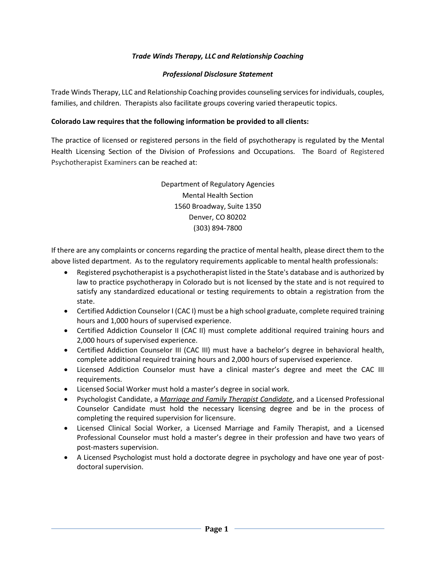## Trade Winds Therapy, LLC and Relationship Coaching

## Professional Disclosure Statement

Trade Winds Therapy, LLC and Relationship Coaching provides counseling services for individuals, couples, families, and children. Therapists also facilitate groups covering varied therapeutic topics.

#### Colorado Law requires that the following information be provided to all clients:

The practice of licensed or registered persons in the field of psychotherapy is regulated by the Mental Health Licensing Section of the Division of Professions and Occupations. The Board of Registered Psychotherapist Examiners can be reached at:

> Department of Regulatory Agencies Mental Health Section 1560 Broadway, Suite 1350 Denver, CO 80202 (303) 894-7800

If there are any complaints or concerns regarding the practice of mental health, please direct them to the above listed department. As to the regulatory requirements applicable to mental health professionals:

- Registered psychotherapist is a psychotherapist listed in the State's database and is authorized by law to practice psychotherapy in Colorado but is not licensed by the state and is not required to satisfy any standardized educational or testing requirements to obtain a registration from the state.
- Certified Addiction Counselor I (CAC I) must be a high school graduate, complete required training hours and 1,000 hours of supervised experience.
- Certified Addiction Counselor II (CAC II) must complete additional required training hours and 2,000 hours of supervised experience.
- Certified Addiction Counselor III (CAC III) must have a bachelor's degree in behavioral health, complete additional required training hours and 2,000 hours of supervised experience.
- Licensed Addiction Counselor must have a clinical master's degree and meet the CAC III requirements.
- Licensed Social Worker must hold a master's degree in social work.
- Psychologist Candidate, a Marriage and Family Therapist Candidate, and a Licensed Professional Counselor Candidate must hold the necessary licensing degree and be in the process of completing the required supervision for licensure.
- Licensed Clinical Social Worker, a Licensed Marriage and Family Therapist, and a Licensed Professional Counselor must hold a master's degree in their profession and have two years of post-masters supervision.
- A Licensed Psychologist must hold a doctorate degree in psychology and have one year of postdoctoral supervision.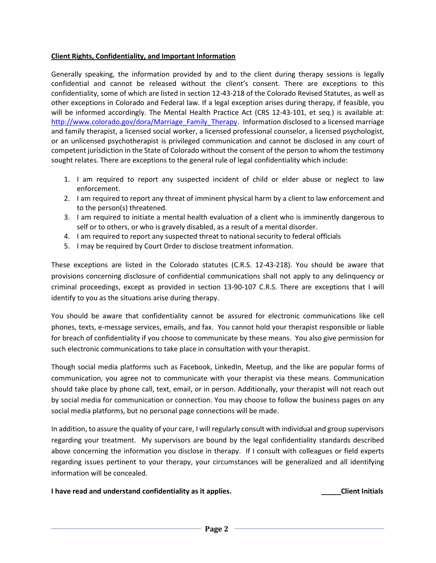#### Client Rights, Confidentiality, and Important Information

Generally speaking, the information provided by and to the client during therapy sessions is legally confidential and cannot be released without the client's consent. There are exceptions to this confidentiality, some of which are listed in section 12-43-218 of the Colorado Revised Statutes, as well as other exceptions in Colorado and Federal law. If a legal exception arises during therapy, if feasible, you will be informed accordingly. The Mental Health Practice Act (CRS 12-43-101, et seq.) is available at: http://www.colorado.gov/dora/Marriage\_Family\_Therapy. Information disclosed to a licensed marriage and family therapist, a licensed social worker, a licensed professional counselor, a licensed psychologist, or an unlicensed psychotherapist is privileged communication and cannot be disclosed in any court of competent jurisdiction in the State of Colorado without the consent of the person to whom the testimony sought relates. There are exceptions to the general rule of legal confidentiality which include:

- 1. I am required to report any suspected incident of child or elder abuse or neglect to law enforcement.
- 2. I am required to report any threat of imminent physical harm by a client to law enforcement and to the person(s) threatened.
- 3. I am required to initiate a mental health evaluation of a client who is imminently dangerous to self or to others, or who is gravely disabled, as a result of a mental disorder.
- 4. I am required to report any suspected threat to national security to federal officials
- 5. I may be required by Court Order to disclose treatment information.

These exceptions are listed in the Colorado statutes (C.R.S. 12-43-218). You should be aware that provisions concerning disclosure of confidential communications shall not apply to any delinquency or criminal proceedings, except as provided in section 13-90-107 C.R.S. There are exceptions that I will identify to you as the situations arise during therapy.

You should be aware that confidentiality cannot be assured for electronic communications like cell phones, texts, e-message services, emails, and fax. You cannot hold your therapist responsible or liable for breach of confidentiality if you choose to communicate by these means. You also give permission for such electronic communications to take place in consultation with your therapist.

Though social media platforms such as Facebook, LinkedIn, Meetup, and the like are popular forms of communication, you agree not to communicate with your therapist via these means. Communication should take place by phone call, text, email, or in person. Additionally, your therapist will not reach out by social media for communication or connection. You may choose to follow the business pages on any social media platforms, but no personal page connections will be made.

In addition, to assure the quality of your care, I will regularly consult with individual and group supervisors regarding your treatment. My supervisors are bound by the legal confidentiality standards described above concerning the information you disclose in therapy. If I consult with colleagues or field experts regarding issues pertinent to your therapy, your circumstances will be generalized and all identifying information will be concealed.

I have read and understand confidentiality as it applies. The contract of the Client Initials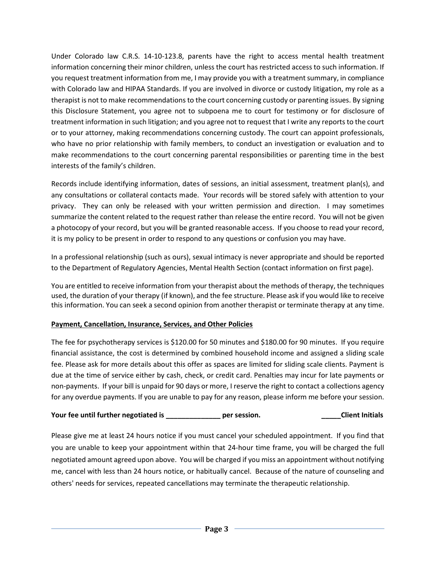Under Colorado law C.R.S. 14-10-123.8, parents have the right to access mental health treatment information concerning their minor children, unless the court has restricted access to such information. If you request treatment information from me, I may provide you with a treatment summary, in compliance with Colorado law and HIPAA Standards. If you are involved in divorce or custody litigation, my role as a therapist is not to make recommendations to the court concerning custody or parenting issues. By signing this Disclosure Statement, you agree not to subpoena me to court for testimony or for disclosure of treatment information in such litigation; and you agree not to request that I write any reports to the court or to your attorney, making recommendations concerning custody. The court can appoint professionals, who have no prior relationship with family members, to conduct an investigation or evaluation and to make recommendations to the court concerning parental responsibilities or parenting time in the best interests of the family's children.

Records include identifying information, dates of sessions, an initial assessment, treatment plan(s), and any consultations or collateral contacts made. Your records will be stored safely with attention to your privacy. They can only be released with your written permission and direction. I may sometimes summarize the content related to the request rather than release the entire record. You will not be given a photocopy of your record, but you will be granted reasonable access. If you choose to read your record, it is my policy to be present in order to respond to any questions or confusion you may have.

In a professional relationship (such as ours), sexual intimacy is never appropriate and should be reported to the Department of Regulatory Agencies, Mental Health Section (contact information on first page).

You are entitled to receive information from your therapist about the methods of therapy, the techniques used, the duration of your therapy (if known), and the fee structure. Please ask if you would like to receive this information. You can seek a second opinion from another therapist or terminate therapy at any time.

# Payment, Cancellation, Insurance, Services, and Other Policies

The fee for psychotherapy services is \$120.00 for 50 minutes and \$180.00 for 90 minutes. If you require financial assistance, the cost is determined by combined household income and assigned a sliding scale fee. Please ask for more details about this offer as spaces are limited for sliding scale clients. Payment is due at the time of service either by cash, check, or credit card. Penalties may incur for late payments or non-payments. If your bill is unpaid for 90 days or more, I reserve the right to contact a collections agency for any overdue payments. If you are unable to pay for any reason, please inform me before your session.

# Your fee until further negotiated is \_\_\_\_\_\_\_\_\_\_\_\_\_\_\_\_\_ per session. \_\_\_\_\_\_\_\_\_\_\_\_\_\_Client Initials

Please give me at least 24 hours notice if you must cancel your scheduled appointment. If you find that you are unable to keep your appointment within that 24-hour time frame, you will be charged the full negotiated amount agreed upon above. You will be charged if you miss an appointment without notifying me, cancel with less than 24 hours notice, or habitually cancel. Because of the nature of counseling and others' needs for services, repeated cancellations may terminate the therapeutic relationship.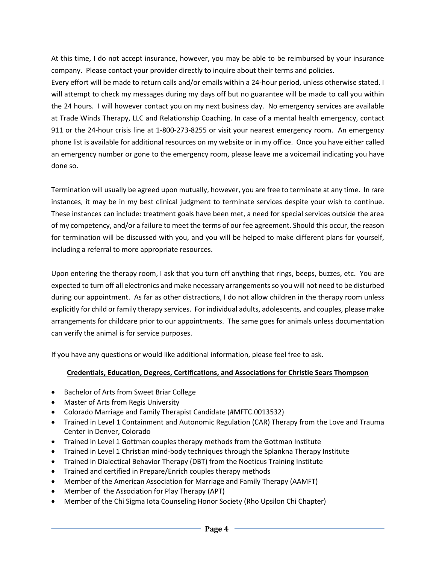At this time, I do not accept insurance, however, you may be able to be reimbursed by your insurance company. Please contact your provider directly to inquire about their terms and policies.

Every effort will be made to return calls and/or emails within a 24-hour period, unless otherwise stated. I will attempt to check my messages during my days off but no guarantee will be made to call you within the 24 hours. I will however contact you on my next business day. No emergency services are available at Trade Winds Therapy, LLC and Relationship Coaching. In case of a mental health emergency, contact 911 or the 24-hour crisis line at 1-800-273-8255 or visit your nearest emergency room. An emergency phone list is available for additional resources on my website or in my office. Once you have either called an emergency number or gone to the emergency room, please leave me a voicemail indicating you have done so.

Termination will usually be agreed upon mutually, however, you are free to terminate at any time. In rare instances, it may be in my best clinical judgment to terminate services despite your wish to continue. These instances can include: treatment goals have been met, a need for special services outside the area of my competency, and/or a failure to meet the terms of our fee agreement. Should this occur, the reason for termination will be discussed with you, and you will be helped to make different plans for yourself, including a referral to more appropriate resources.

Upon entering the therapy room, I ask that you turn off anything that rings, beeps, buzzes, etc. You are expected to turn off all electronics and make necessary arrangements so you will not need to be disturbed during our appointment. As far as other distractions, I do not allow children in the therapy room unless explicitly for child or family therapy services. For individual adults, adolescents, and couples, please make arrangements for childcare prior to our appointments. The same goes for animals unless documentation can verify the animal is for service purposes.

If you have any questions or would like additional information, please feel free to ask.

## Credentials, Education, Degrees, Certifications, and Associations for Christie Sears Thompson

- Bachelor of Arts from Sweet Briar College
- Master of Arts from Regis University
- Colorado Marriage and Family Therapist Candidate (#MFTC.0013532)
- Trained in Level 1 Containment and Autonomic Regulation (CAR) Therapy from the Love and Trauma Center in Denver, Colorado
- Trained in Level 1 Gottman couples therapy methods from the Gottman Institute
- Trained in Level 1 Christian mind-body techniques through the Splankna Therapy Institute
- Trained in Dialectical Behavior Therapy (DBT) from the Noeticus Training Institute
- Trained and certified in Prepare/Enrich couples therapy methods
- Member of the American Association for Marriage and Family Therapy (AAMFT)
- Member of the Association for Play Therapy (APT)
- Member of the Chi Sigma Iota Counseling Honor Society (Rho Upsilon Chi Chapter)